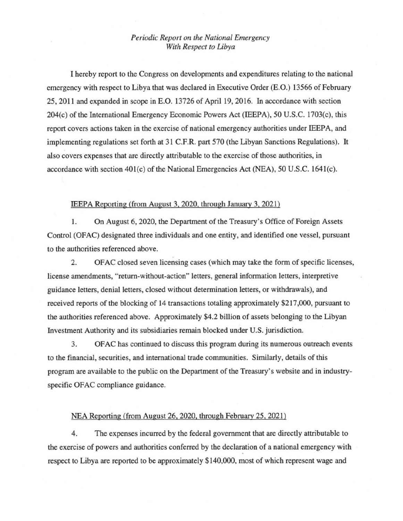## *Periodic Report on the National Emergency With Respect to Libya*

I hereby report to the Congress on developments and expenditures relating to the national emergency with respect to Libya that was declared in Executive Order (E.O.) 13566 of February 25, 2011 and expanded in scope in E.O. 13726 of April 19, 2016. In accordance with section 204(c) of the International Emergency Economic Powers Act (IEEPA), 50 U.S.C. 1703(c), this report covers actions taken in the exercise of national emergency authorities under IEEPA, and implementing regulations set forth at 31 C.F.R. part 570 (the Libyan Sanctions Regulations). It also covers expenses that are directly attributable to the exercise of those authorities, in accordance with section  $401(c)$  of the National Emergencies Act (NEA), 50 U.S.C. 1641(c).

## IEEPA Reporting (from August 3, 2020, through January 3, 2021)

1. On August 6, 2020, the Department of the Treasury's Office of Foreign Assets Control (OFAC) designated three individuals and one entity, and identified one vessel, pursuant to the authorities referenced above.

2. OFAC closed seven licensing cases (which may take the form of specific licenses, license amendments, "return-without-action" letters, general information letters, interpretive guidance letters, denial letters, closed without determination letters, or withdrawals), and received reports of the blocking of 14 transactions totaling approximately \$217,000, pursuant to the authorities referenced above. Approximately \$4.2 billion of assets belonging to the Libyan Investment Authority and its subsidiaries remain blocked under U.S. jurisdiction.

3. OFAC has continued to discuss this program during its numerous outreach events to the fmancial, securities, and international trade communities. Similarly, details of this program are available to the public on the Department of the Treasury's website and in industryspecific OFAC compliance guidance.

## NEA Reporting (from August 26. 2020, through February 25, 2021)

4. The expenses incurred by the federal government that are directly attributable to the exercise of powers and authorities conferred by the declaration of a national emergency with respect to Libya are reported to be approximately \$140,000, most of which represent wage and